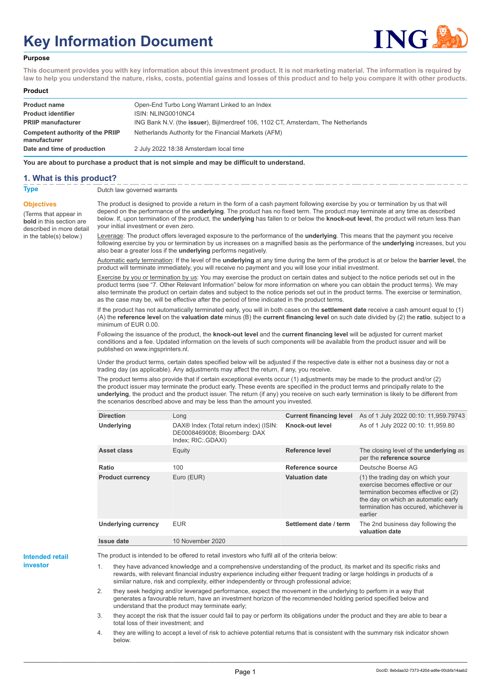# **Key Information Document**



#### **Purpose**

**This document provides you with key information about this investment product. It is not marketing material. The information is required by law to help you understand the nature, risks, costs, potential gains and losses of this product and to help you compare it with other products.**

#### **Product**

| <b>Product name</b><br><b>Product identifier</b><br><b>PRIIP manufacturer</b> | Open-End Turbo Long Warrant Linked to an Index<br>ISIN: NLING0010NC4<br>ING Bank N.V. (the <b>issuer</b> ), Bijlmerdreef 106, 1102 CT, Amsterdam, The Netherlands |
|-------------------------------------------------------------------------------|-------------------------------------------------------------------------------------------------------------------------------------------------------------------|
| Competent authority of the PRIIP<br>manufacturer                              | Netherlands Authority for the Financial Markets (AFM)                                                                                                             |
| Date and time of production                                                   | 2 July 2022 18:38 Amsterdam local time                                                                                                                            |

**You are about to purchase a product that is not simple and may be difficult to understand.**

## **1. What is this product?**

**Objectives**

(Terms that appear in **bold** in this section are

in the table(s) below.)

## **Type** Dutch law governed warrants

described in more detail The product is designed to provide a return in the form of a cash payment following exercise by you or termination by us that will depend on the performance of the **underlying**. The product has no fixed term. The product may terminate at any time as described below. If, upon termination of the product, the **underlying** has fallen to or below the **knock-out level**, the product will return less than your initial investment or even zero.

> Leverage: The product offers leveraged exposure to the performance of the **underlying**. This means that the payment you receive following exercise by you or termination by us increases on a magnified basis as the performance of the **underlying** increases, but you also bear a greater loss if the **underlying** performs negatively.

> Automatic early termination: If the level of the **underlying** at any time during the term of the product is at or below the **barrier level**, the product will terminate immediately, you will receive no payment and you will lose your initial investment.

> Exercise by you or termination by us: You may exercise the product on certain dates and subject to the notice periods set out in the product terms (see "7. Other Relevant Information" below for more information on where you can obtain the product terms). We may also terminate the product on certain dates and subject to the notice periods set out in the product terms. The exercise or termination, as the case may be, will be effective after the period of time indicated in the product terms.

> If the product has not automatically terminated early, you will in both cases on the **settlement date** receive a cash amount equal to (1) (A) the **reference level** on the **valuation date** minus (B) the **current financing level** on such date divided by (2) the **ratio**, subject to a minimum of EUR 0.00.

Following the issuance of the product, the **knock-out level** and the **current financing level** will be adjusted for current market conditions and a fee. Updated information on the levels of such components will be available from the product issuer and will be published on www.ingsprinters.nl.

Under the product terms, certain dates specified below will be adjusted if the respective date is either not a business day or not a trading day (as applicable). Any adjustments may affect the return, if any, you receive.

The product terms also provide that if certain exceptional events occur (1) adjustments may be made to the product and/or (2) the product issuer may terminate the product early. These events are specified in the product terms and principally relate to the **underlying**, the product and the product issuer. The return (if any) you receive on such early termination is likely to be different from the scenarios described above and may be less than the amount you invested.

| <b>Direction</b>           | Long                                                                                                     | <b>Current financing level</b> | As of 1 July 2022 00:10: 11,959.79743                                                                                                                                                                     |
|----------------------------|----------------------------------------------------------------------------------------------------------|--------------------------------|-----------------------------------------------------------------------------------------------------------------------------------------------------------------------------------------------------------|
| <b>Underlying</b>          | DAX <sup>®</sup> Index (Total return index) (ISIN:<br>DE0008469008; Bloomberg: DAX<br>Index; RIC: GDAXI) | Knock-out level                | As of 1 July 2022 00:10: 11,959.80                                                                                                                                                                        |
| Asset class                | Equity                                                                                                   | Reference level                | The closing level of the <b>underlying</b> as<br>per the reference source                                                                                                                                 |
| Ratio                      | 100                                                                                                      | Reference source               | Deutsche Boerse AG                                                                                                                                                                                        |
| <b>Product currency</b>    | Euro (EUR)                                                                                               | <b>Valuation date</b>          | (1) the trading day on which your<br>exercise becomes effective or our<br>termination becomes effective or (2)<br>the day on which an automatic early<br>termination has occured, whichever is<br>earlier |
| <b>Underlying currency</b> | <b>EUR</b>                                                                                               | Settlement date / term         | The 2nd business day following the<br>valuation date                                                                                                                                                      |
| Issue date                 | 10 November 2020                                                                                         |                                |                                                                                                                                                                                                           |

**Intended retail investor**

The product is intended to be offered to retail investors who fulfil all of the criteria below:

they have advanced knowledge and a comprehensive understanding of the product, its market and its specific risks and rewards, with relevant financial industry experience including either frequent trading or large holdings in products of a similar nature, risk and complexity, either independently or through professional advice;

2. they seek hedging and/or leveraged performance, expect the movement in the underlying to perform in a way that generates a favourable return, have an investment horizon of the recommended holding period specified below and understand that the product may terminate early;

3. they accept the risk that the issuer could fail to pay or perform its obligations under the product and they are able to bear a total loss of their investment; and

4. they are willing to accept a level of risk to achieve potential returns that is consistent with the summary risk indicator shown below.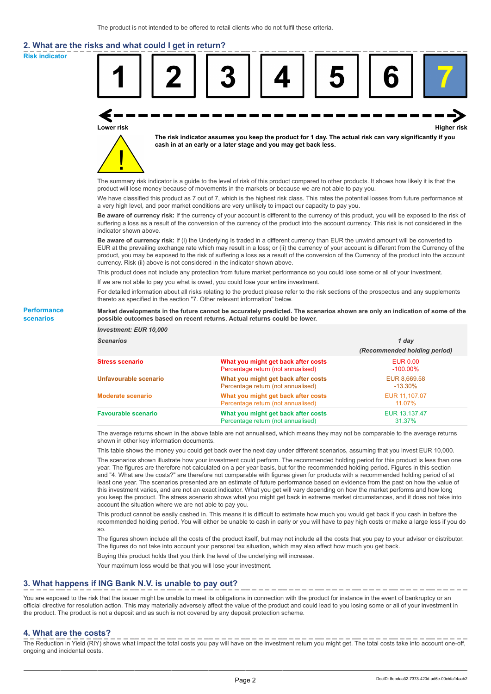# **2. What are the risks and what could I get in return?**

**Risk indicator**

**Performance scenarios**



thereto as specified in the section "7. Other relevant information" below.

#### **Market developments in the future cannot be accurately predicted. The scenarios shown are only an indication of some of the possible outcomes based on recent returns. Actual returns could be lower.**

| <b>Investment: EUR 10,000</b> |                                                                           |                                |
|-------------------------------|---------------------------------------------------------------------------|--------------------------------|
| <b>Scenarios</b>              |                                                                           | 1 day                          |
|                               |                                                                           | (Recommended holding period)   |
| <b>Stress scenario</b>        | What you might get back after costs<br>Percentage return (not annualised) | <b>EUR 0.00</b><br>$-100.00\%$ |
| Unfavourable scenario         | What you might get back after costs<br>Percentage return (not annualised) | EUR 8,669.58<br>$-13.30\%$     |
| <b>Moderate scenario</b>      | What you might get back after costs<br>Percentage return (not annualised) | EUR 11.107.07<br>11.07%        |
| <b>Favourable scenario</b>    | What you might get back after costs<br>Percentage return (not annualised) | EUR 13.137.47<br>31.37%        |

The average returns shown in the above table are not annualised, which means they may not be comparable to the average returns shown in other key information documents.

This table shows the money you could get back over the next day under different scenarios, assuming that you invest EUR 10,000.

The scenarios shown illustrate how your investment could perform. The recommended holding period for this product is less than one year. The figures are therefore not calculated on a per year basis, but for the recommended holding period. Figures in this section and "4. What are the costs?" are therefore not comparable with figures given for products with a recommended holding period of at least one year. The scenarios presented are an estimate of future performance based on evidence from the past on how the value of this investment varies, and are not an exact indicator. What you get will vary depending on how the market performs and how long you keep the product. The stress scenario shows what you might get back in extreme market circumstances, and it does not take into account the situation where we are not able to pay you.

This product cannot be easily cashed in. This means it is difficult to estimate how much you would get back if you cash in before the recommended holding period. You will either be unable to cash in early or you will have to pay high costs or make a large loss if you do so.

The figures shown include all the costs of the product itself, but may not include all the costs that you pay to your advisor or distributor. The figures do not take into account your personal tax situation, which may also affect how much you get back.

Buying this product holds that you think the level of the underlying will increase.

Your maximum loss would be that you will lose your investment.

## **3. What happens if ING Bank N.V. is unable to pay out?**

You are exposed to the risk that the issuer might be unable to meet its obligations in connection with the product for instance in the event of bankruptcy or an official directive for resolution action. This may materially adversely affect the value of the product and could lead to you losing some or all of your investment in the product. The product is not a deposit and as such is not covered by any deposit protection scheme.

### **4. What are the costs?**

The Reduction in Yield (RIY) shows what impact the total costs you pay will have on the investment return you might get. The total costs take into account one-off, ongoing and incidental costs.